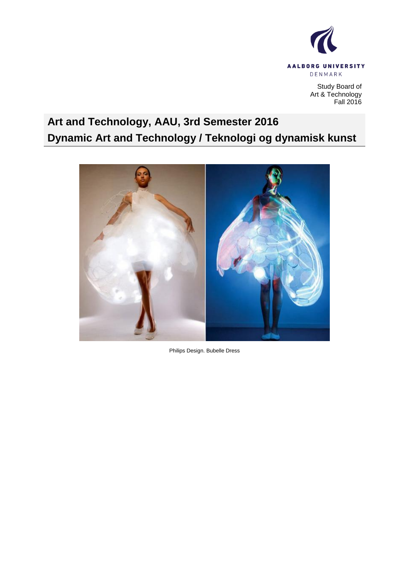

Study Board of Art & Technology Fall 2016

# **Art and Technology, AAU, 3rd Semester 2016 Dynamic Art and Technology / Teknologi og dynamisk kunst**



Philips Design. Bubelle Dress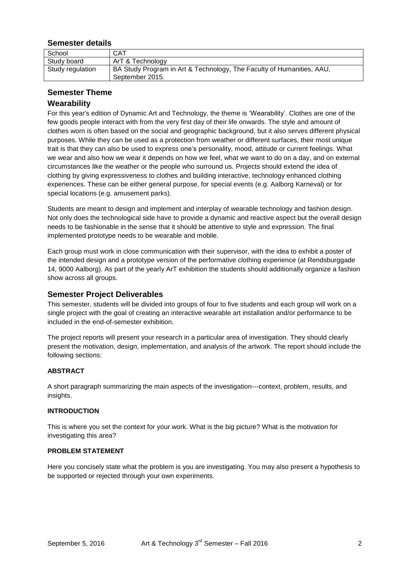# **Semester details**

| School           | CAT                                                                                      |
|------------------|------------------------------------------------------------------------------------------|
| Study board      | ArT & Technology                                                                         |
| Study regulation | BA Study Program in Art & Technology, The Faculty of Humanities, AAU,<br>September 2015. |

# **Semester Theme**

# **Wearability**

For this year's edition of Dynamic Art and Technology, the theme is "Wearability". Clothes are one of the few goods people interact with from the very first day of their life onwards. The style and amount of clothes worn is often based on the social and geographic background, but it also serves different physical purposes. While they can be used as a protection from weather or different surfaces, their most unique trait is that they can also be used to express one"s personality, mood, attitude or current feelings. What we wear and also how we wear it depends on how we feel, what we want to do on a day, and on external circumstances like the weather or the people who surround us. Projects should extend the idea of clothing by giving expressiveness to clothes and building interactive, technology enhanced clothing experiences. These can be either general purpose, for special events (e.g. Aalborg Karneval) or for special locations (e.g. amusement parks).

Students are meant to design and implement and interplay of wearable technology and fashion design. Not only does the technological side have to provide a dynamic and reactive aspect but the overall design needs to be fashionable in the sense that it should be attentive to style and expression. The final implemented prototype needs to be wearable and mobile.

Each group must work in close communication with their supervisor, with the idea to exhibit a poster of the intended design and a prototype version of the performative clothing experience (at Rendsburggade 14, 9000 Aalborg). As part of the yearly ArT exhibition the students should additionally organize a fashion show across all groups.

# **Semester Project Deliverables**

This semester, students will be divided into groups of four to five students and each group will work on a single project with the goal of creating an interactive wearable art installation and/or performance to be included in the end-of-semester exhibition.

The project reports will present your research in a particular area of investigation. They should clearly present the motivation, design, implementation, and analysis of the artwork. The report should include the following sections:

# **ABSTRACT**

A short paragraph summarizing the main aspects of the investigation---context, problem, results, and insights.

#### **INTRODUCTION**

This is where you set the context for your work. What is the big picture? What is the motivation for investigating this area?

#### **PROBLEM STATEMENT**

Here you concisely state what the problem is you are investigating. You may also present a hypothesis to be supported or rejected through your own experiments.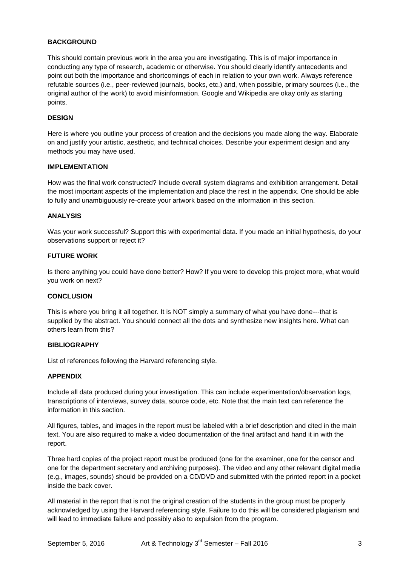#### **BACKGROUND**

This should contain previous work in the area you are investigating. This is of major importance in conducting any type of research, academic or otherwise. You should clearly identify antecedents and point out both the importance and shortcomings of each in relation to your own work. Always reference refutable sources (i.e., peer-reviewed journals, books, etc.) and, when possible, primary sources (i.e., the original author of the work) to avoid misinformation. Google and Wikipedia are okay only as starting points.

#### **DESIGN**

Here is where you outline your process of creation and the decisions you made along the way. Elaborate on and justify your artistic, aesthetic, and technical choices. Describe your experiment design and any methods you may have used.

#### **IMPLEMENTATION**

How was the final work constructed? Include overall system diagrams and exhibition arrangement. Detail the most important aspects of the implementation and place the rest in the appendix. One should be able to fully and unambiguously re-create your artwork based on the information in this section.

#### **ANALYSIS**

Was your work successful? Support this with experimental data. If you made an initial hypothesis, do your observations support or reject it?

#### **FUTURE WORK**

Is there anything you could have done better? How? If you were to develop this project more, what would you work on next?

#### **CONCLUSION**

This is where you bring it all together. It is NOT simply a summary of what you have done---that is supplied by the abstract. You should connect all the dots and synthesize new insights here. What can others learn from this?

#### **BIBLIOGRAPHY**

List of references following the Harvard referencing style.

#### **APPENDIX**

Include all data produced during your investigation. This can include experimentation/observation logs, transcriptions of interviews, survey data, source code, etc. Note that the main text can reference the information in this section.

All figures, tables, and images in the report must be labeled with a brief description and cited in the main text. You are also required to make a video documentation of the final artifact and hand it in with the report.

Three hard copies of the project report must be produced (one for the examiner, one for the censor and one for the department secretary and archiving purposes). The video and any other relevant digital media (e.g., images, sounds) should be provided on a CD/DVD and submitted with the printed report in a pocket inside the back cover.

All material in the report that is not the original creation of the students in the group must be properly acknowledged by using the Harvard referencing style. Failure to do this will be considered plagiarism and will lead to immediate failure and possibly also to expulsion from the program.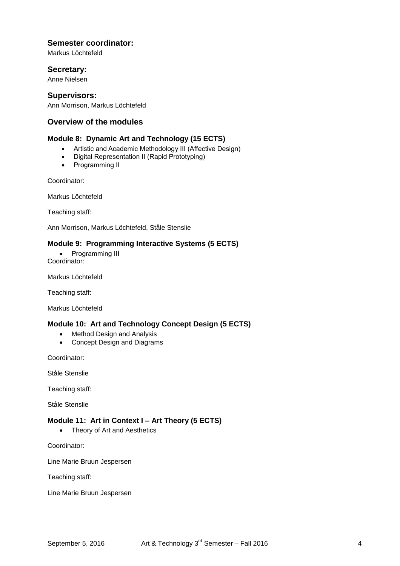# **Semester coordinator:**

Markus Löchtefeld

## **Secretary:**

Anne Nielsen

## **Supervisors:**

Ann Morrison, Markus Löchtefeld

# **Overview of the modules**

## **Module 8: Dynamic Art and Technology (15 ECTS)**

- Artistic and Academic Methodology III (Affective Design)
- Digital Representation II (Rapid Prototyping)
- Programming II

Coordinator:

Markus Löchtefeld

Teaching staff:

Ann Morrison, Markus Löchtefeld, Ståle Stenslie

## **Module 9: Programming Interactive Systems (5 ECTS)**

• Programming III Coordinator:

Markus Löchtefeld

Teaching staff:

Markus Löchtefeld

# **Module 10: Art and Technology Concept Design (5 ECTS)**

- Method Design and Analysis
- Concept Design and Diagrams

Coordinator:

Ståle Stenslie

Teaching staff:

Ståle Stenslie

#### **Module 11: Art in Context I – Art Theory (5 ECTS)**

• Theory of Art and Aesthetics

Coordinator:

Line Marie Bruun Jespersen

Teaching staff:

Line Marie Bruun Jespersen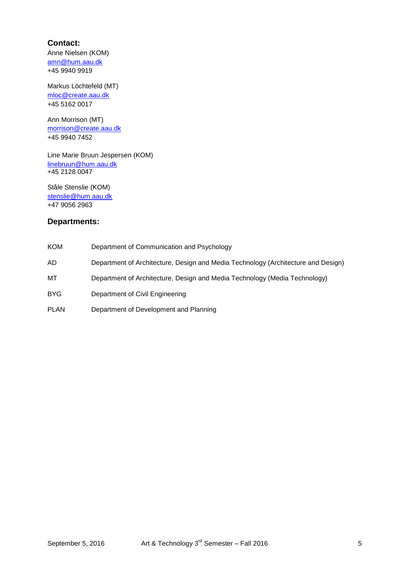# **Contact:**

Anne Nielsen (KOM) [amn@hum.aau.dk](mailto:amn@hum.aau.dk) +45 9940 9919

Markus Löchtefeld (MT) [mloc@create.aau.dk](mailto:mloc@create.aau.dk) +45 5162 0017

Ann Morrison (MT) [morrison@create.aau.dk](mailto:morrison@create.aau.dk) +45 9940 7452

Line Marie Bruun Jespersen (KOM) [linebruun@hum.aau.dk](mailto:linebruun@hum.aau.dk) +45 2128 0047

Ståle Stenslie (KOM) [stenslie@hum.aau.dk](mailto:stenslie@hum.aau.dk) +47 9056 2963

# **Departments:**

| KOM  | Department of Communication and Psychology                                        |
|------|-----------------------------------------------------------------------------------|
| AD   | Department of Architecture, Design and Media Technology (Architecture and Design) |
| мт   | Department of Architecture, Design and Media Technology (Media Technology)        |
| BYG  | Department of Civil Engineering                                                   |
| PLAN | Department of Development and Planning                                            |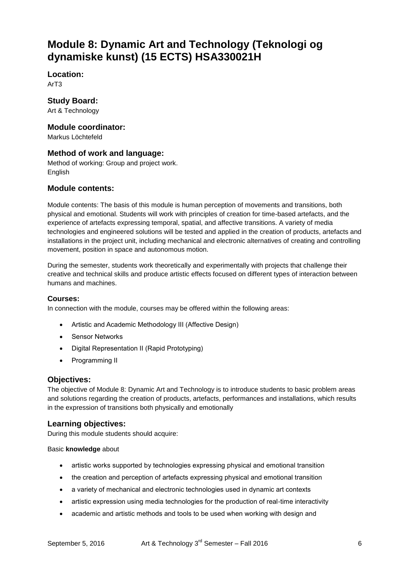# **Module 8: Dynamic Art and Technology (Teknologi og dynamiske kunst) (15 ECTS) HSA330021H**

**Location:**

ArT3

**Study Board:** Art & Technology

# **Module coordinator:**

Markus Löchtefeld

# **Method of work and language:**

Method of working: Group and project work. English

# **Module contents:**

Module contents: The basis of this module is human perception of movements and transitions, both physical and emotional. Students will work with principles of creation for time-based artefacts, and the experience of artefacts expressing temporal, spatial, and affective transitions. A variety of media technologies and engineered solutions will be tested and applied in the creation of products, artefacts and installations in the project unit, including mechanical and electronic alternatives of creating and controlling movement, position in space and autonomous motion.

During the semester, students work theoretically and experimentally with projects that challenge their creative and technical skills and produce artistic effects focused on different types of interaction between humans and machines.

# **Courses:**

In connection with the module, courses may be offered within the following areas:

- Artistic and Academic Methodology III (Affective Design)
- **•** Sensor Networks
- Digital Representation II (Rapid Prototyping)
- Programming II

# **Objectives:**

The objective of Module 8: Dynamic Art and Technology is to introduce students to basic problem areas and solutions regarding the creation of products, artefacts, performances and installations, which results in the expression of transitions both physically and emotionally

# **Learning objectives:**

During this module students should acquire:

# Basic **knowledge** about

- artistic works supported by technologies expressing physical and emotional transition
- the creation and perception of artefacts expressing physical and emotional transition
- a variety of mechanical and electronic technologies used in dynamic art contexts
- artistic expression using media technologies for the production of real-time interactivity
- academic and artistic methods and tools to be used when working with design and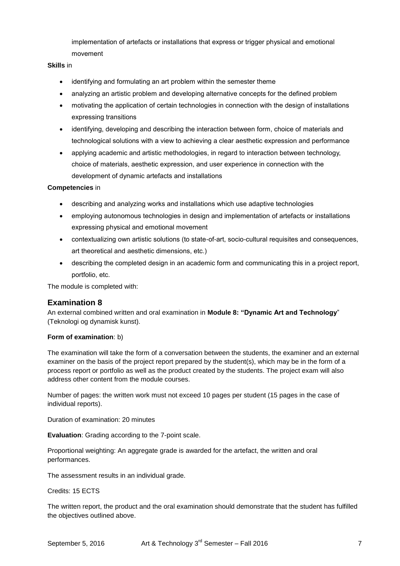implementation of artefacts or installations that express or trigger physical and emotional movement

#### **Skills** in

- identifying and formulating an art problem within the semester theme
- analyzing an artistic problem and developing alternative concepts for the defined problem
- motivating the application of certain technologies in connection with the design of installations expressing transitions
- identifying, developing and describing the interaction between form, choice of materials and technological solutions with a view to achieving a clear aesthetic expression and performance
- applying academic and artistic methodologies, in regard to interaction between technology, choice of materials, aesthetic expression, and user experience in connection with the development of dynamic artefacts and installations

#### **Competencies** in

- describing and analyzing works and installations which use adaptive technologies
- employing autonomous technologies in design and implementation of artefacts or installations expressing physical and emotional movement
- contextualizing own artistic solutions (to state-of-art, socio-cultural requisites and consequences, art theoretical and aesthetic dimensions, etc.)
- describing the completed design in an academic form and communicating this in a project report, portfolio, etc.

The module is completed with:

# **Examination 8**

An external combined written and oral examination in **Module 8: "Dynamic Art and Technology**" (Teknologi og dynamisk kunst).

#### **Form of examination**: b)

The examination will take the form of a conversation between the students, the examiner and an external examiner on the basis of the project report prepared by the student(s), which may be in the form of a process report or portfolio as well as the product created by the students. The project exam will also address other content from the module courses.

Number of pages: the written work must not exceed 10 pages per student (15 pages in the case of individual reports).

Duration of examination: 20 minutes

**Evaluation**: Grading according to the 7-point scale.

Proportional weighting: An aggregate grade is awarded for the artefact, the written and oral performances.

The assessment results in an individual grade.

Credits: 15 ECTS

The written report, the product and the oral examination should demonstrate that the student has fulfilled the objectives outlined above.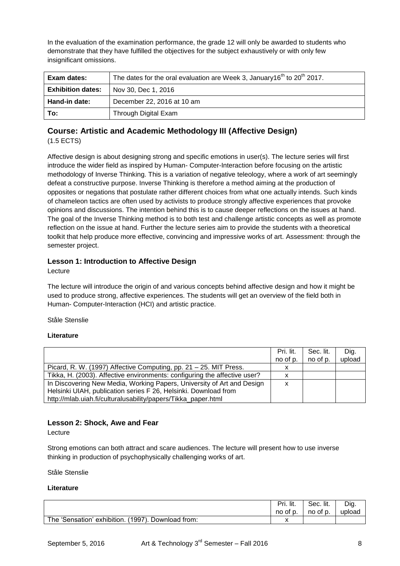In the evaluation of the examination performance, the grade 12 will only be awarded to students who demonstrate that they have fulfilled the objectives for the subject exhaustively or with only few insignificant omissions.

| <b>Exam dates:</b>       | The dates for the oral evaluation are Week 3, January16 <sup>th</sup> to 20 <sup>th</sup> 2017. |
|--------------------------|-------------------------------------------------------------------------------------------------|
| <b>Exhibition dates:</b> | Nov 30, Dec 1, 2016                                                                             |
| Hand-in date:            | December 22, 2016 at 10 am                                                                      |
| To:                      | Through Digital Exam                                                                            |

# **Course: Artistic and Academic Methodology III (Affective Design)**  (1.5 ECTS)

Affective design is about designing strong and specific emotions in user(s). The lecture series will first introduce the wider field as inspired by Human- Computer-Interaction before focusing on the artistic methodology of Inverse Thinking. This is a variation of negative teleology, where a work of art seemingly defeat a constructive purpose. Inverse Thinking is therefore a method aiming at the production of opposites or negations that postulate rather different choices from what one actually intends. Such kinds of chameleon tactics are often used by activists to produce strongly affective experiences that provoke opinions and discussions. The intention behind this is to cause deeper reflections on the issues at hand. The goal of the Inverse Thinking method is to both test and challenge artistic concepts as well as promote reflection on the issue at hand. Further the lecture series aim to provide the students with a theoretical toolkit that help produce more effective, convincing and impressive works of art. Assessment: through the semester project.

# **Lesson 1: Introduction to Affective Design**

Lecture

The lecture will introduce the origin of and various concepts behind affective design and how it might be used to produce strong, affective experiences. The students will get an overview of the field both in Human- Computer-Interaction (HCI) and artistic practice.

Ståle Stenslie

#### **Literature**

|                                                                           | Pri. lit. | Sec. lit. | Dig.   |
|---------------------------------------------------------------------------|-----------|-----------|--------|
|                                                                           | no of p.  | no of p.  | upload |
| Picard, R. W. (1997) Affective Computing, pp. 21 - 25. MIT Press.         | х         |           |        |
| Tikka, H. (2003). Affective environments: configuring the affective user? | x         |           |        |
| In Discovering New Media, Working Papers, University of Art and Design    | х         |           |        |
| Helsinki UIAH, publication series F 26, Helsinki. Download from           |           |           |        |
| http://mlab.uiah.fi/culturalusability/papers/Tikka_paper.html             |           |           |        |

# **Lesson 2: Shock, Awe and Fear**

Lecture

Strong emotions can both attract and scare audiences. The lecture will present how to use inverse thinking in production of psychophysically challenging works of art.

Ståle Stenslie

|                                                         | Pri. lit. | Sec. lit. | Dig.   |
|---------------------------------------------------------|-----------|-----------|--------|
|                                                         | no of p.  | no of p.  | upload |
| The 'Sensation' exhibition. (<br>(1997). Download from: |           |           |        |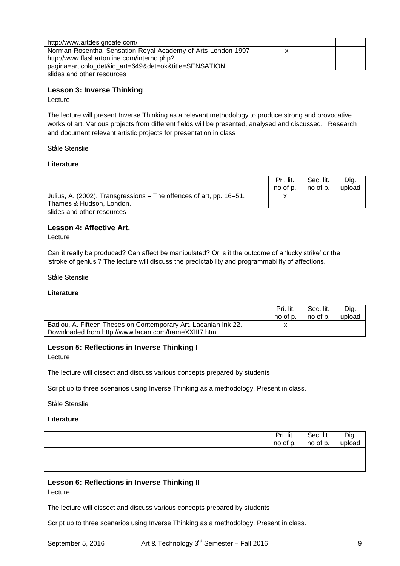| http://www.artdesigncafe.com/                                |   |  |
|--------------------------------------------------------------|---|--|
| Norman-Rosenthal-Sensation-Royal-Academy-of-Arts-London-1997 | x |  |
| http://www.flashartonline.com/interno.php?                   |   |  |
| pagina=articolo_det&id_art=649&det=ok&title=SENSATION        |   |  |
| slides and other resources                                   |   |  |

**Lesson 3: Inverse Thinking**

Lecture

The lecture will present Inverse Thinking as a relevant methodology to produce strong and provocative works of art. Various projects from different fields will be presented, analysed and discussed. Research and document relevant artistic projects for presentation in class

Ståle Stenslie

#### **Literature**

|                                                                                                                                                                                                                                | Pri. lit. | Sec. lit. | Dig.   |
|--------------------------------------------------------------------------------------------------------------------------------------------------------------------------------------------------------------------------------|-----------|-----------|--------|
|                                                                                                                                                                                                                                | no of p.  | no of p.  | upload |
| Julius, A. (2002). Transgressions – The offences of art, pp. 16–51.                                                                                                                                                            |           |           |        |
| Thames & Hudson, London.                                                                                                                                                                                                       |           |           |        |
| the Philippines of the contract of the contract of the contract of the contract of the contract of the contract of the contract of the contract of the contract of the contract of the contract of the contract of the contrac |           |           |        |

slides and other resources

#### **Lesson 4: Affective Art.**

Lecture

Can it really be produced? Can affect be manipulated? Or is it the outcome of a "lucky strike" or the "stroke of genius"? The lecture will discuss the predictability and programmability of affections.

Ståle Stenslie

**Literature**

|                                                                                                                         | Pri. lit. | Sec. lit. | Dig.   |
|-------------------------------------------------------------------------------------------------------------------------|-----------|-----------|--------|
|                                                                                                                         | no of p.  | no of p.  | upload |
| Badiou, A. Fifteen Theses on Contemporary Art. Lacanian Ink 22.<br>Downloaded from http://www.lacan.com/frameXXIII7.htm |           |           |        |

# **Lesson 5: Reflections in Inverse Thinking I**

Lecture

The lecture will dissect and discuss various concepts prepared by students

Script up to three scenarios using Inverse Thinking as a methodology. Present in class.

Ståle Stenslie

#### **Literature**

|  | Pri. lit. Sec. lit. Dig.<br>no of p. no of p. upload |  |
|--|------------------------------------------------------|--|
|  |                                                      |  |
|  |                                                      |  |
|  |                                                      |  |

# **Lesson 6: Reflections in Inverse Thinking II**

Lecture

The lecture will dissect and discuss various concepts prepared by students

Script up to three scenarios using Inverse Thinking as a methodology. Present in class.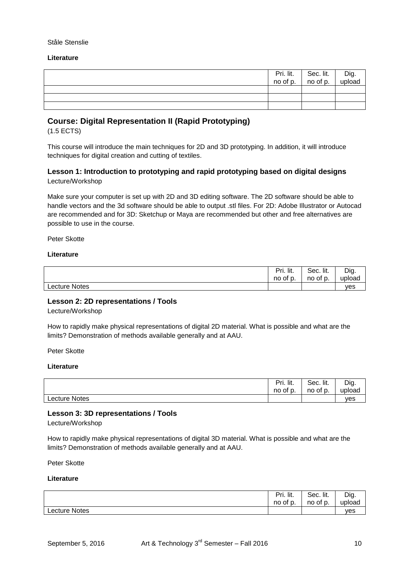#### Ståle Stenslie

#### **Literature**

|  | $\begin{array}{ c c c c }\n\hline\n\text{Pri.} \text{ lit.} & \text{Sec.} \text{ lit.} & \text{no of p.} \\ \hline\n\end{array}$ | <sup>l</sup> Dig.<br>upload |
|--|----------------------------------------------------------------------------------------------------------------------------------|-----------------------------|
|  |                                                                                                                                  |                             |
|  |                                                                                                                                  |                             |
|  |                                                                                                                                  |                             |

# **Course: Digital Representation II (Rapid Prototyping)**

(1.5 ECTS)

This course will introduce the main techniques for 2D and 3D prototyping. In addition, it will introduce techniques for digital creation and cutting of textiles.

## **Lesson 1: Introduction to prototyping and rapid prototyping based on digital designs** Lecture/Workshop

Make sure your computer is set up with 2D and 3D editing software. The 2D software should be able to handle vectors and the 3d software should be able to output .stl files. For 2D: Adobe Illustrator or Autocad are recommended and for 3D: Sketchup or Maya are recommended but other and free alternatives are possible to use in the course.

Peter Skotte

#### **Literature**

|                      | Pri. lit. | Sec. lit. | Dig.   |
|----------------------|-----------|-----------|--------|
|                      | no of p.  | no of p.  | upload |
| <b>Lecture Notes</b> |           |           | ves    |

#### **Lesson 2: 2D representations / Tools**

Lecture/Workshop

How to rapidly make physical representations of digital 2D material. What is possible and what are the limits? Demonstration of methods available generally and at AAU.

Peter Skotte

#### **Literature**

|                      | Pri. lit.<br>no<br>∘ot p. | Sec. lit.<br>no of p. | Dig.<br>upload |
|----------------------|---------------------------|-----------------------|----------------|
| <b>Lecture Notes</b> |                           |                       | ves            |

#### **Lesson 3: 3D representations / Tools**

Lecture/Workshop

How to rapidly make physical representations of digital 3D material. What is possible and what are the limits? Demonstration of methods available generally and at AAU.

Peter Skotte

|                      | Pri.<br>lit.<br>no of p. | Sec. lit.<br>no of p. | Dig.<br>upload |
|----------------------|--------------------------|-----------------------|----------------|
| <b>Lecture Notes</b> |                          |                       | ves            |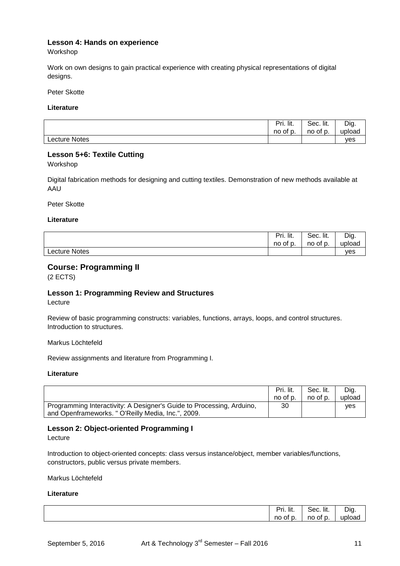# **Lesson 4: Hands on experience**

Workshop

Work on own designs to gain practical experience with creating physical representations of digital designs.

Peter Skotte

**Literature**

|                      | Pri. lit. | Sec. lit. | Dig.   |
|----------------------|-----------|-----------|--------|
|                      | no of p.  | no of p.  | upload |
| <b>Lecture Notes</b> |           |           | ves    |

## **Lesson 5+6: Textile Cutting**

Workshop

Digital fabrication methods for designing and cutting textiles. Demonstration of new methods available at AAU

Peter Skotte

#### **Literature**

|               | Pri. lit. | Sec. lit. | Dig.   |
|---------------|-----------|-----------|--------|
|               | no of p.  | no of p.  | upload |
| Lecture Notes |           |           | ves    |

# **Course: Programming II**

(2 ECTS)

# **Lesson 1: Programming Review and Structures**

Lecture

Review of basic programming constructs: variables, functions, arrays, loops, and control structures. Introduction to structures.

Markus Löchtefeld

Review assignments and literature from Programming I.

#### **Literature**

|                                                                       | Pri. lit. | Sec. lit. | Dig.   |
|-----------------------------------------------------------------------|-----------|-----------|--------|
|                                                                       | no of p.  | no of p.  | upload |
| Programming Interactivity: A Designer's Guide to Processing, Arduino, | 30        |           | ves    |
| and Openframeworks. " O'Reilly Media, Inc.", 2009.                    |           |           |        |

# **Lesson 2: Object-oriented Programming I**

Lecture

Introduction to object-oriented concepts: class versus instance/object, member variables/functions, constructors, public versus private members.

Markus Löchtefeld

| Pri. lit.               | Sec. lit.        | Dig    |
|-------------------------|------------------|--------|
| $\sim$<br>no<br>0t<br>ັ | no<br>ot c<br>ັ. | upload |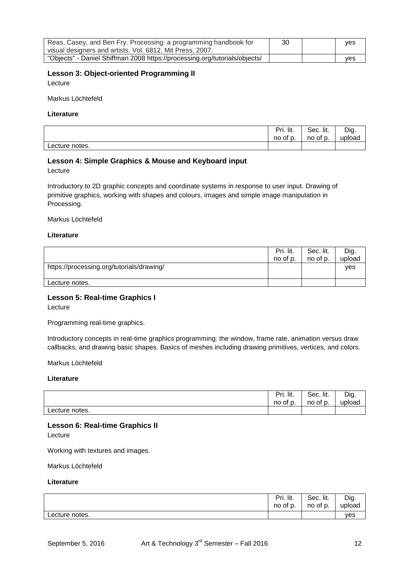| Reas, Casey, and Ben Fry. Processing: a programming handbook for           | 30 | <b>ves</b> |
|----------------------------------------------------------------------------|----|------------|
| visual designers and artists. Vol. 6812. Mit Press, 2007.                  |    |            |
| "Objects" - Daniel Shiffman 2008 https://processing.org/tutorials/objects/ |    | ves        |

## **Lesson 3: Object-oriented Programming II**

Lecture

Markus Löchtefeld

## **Literature**

|                | Pri. lit. | Sec. lit. | Dig.   |
|----------------|-----------|-----------|--------|
|                | no of p.  | no of p.  | upload |
| Lecture notes. |           |           |        |

## **Lesson 4: Simple Graphics & Mouse and Keyboard input**

Lecture

Introductory to 2D graphic concepts and coordinate systems in response to user input. Drawing of primitive graphics, working with shapes and colours, images and simple image manipulation in Processing.

Markus Löchtefeld

#### **Literature**

|                                           | Pri. lit.<br>no of p. | Sec. lit.<br>no of p. | Dig.<br>upload |
|-------------------------------------------|-----------------------|-----------------------|----------------|
| https://processing.org/tutorials/drawing/ |                       |                       | <b>ves</b>     |
| Lecture notes.                            |                       |                       |                |

# **Lesson 5: Real-time Graphics I**

Lecture

Programming real-time graphics.

Introductory concepts in real-time graphics programming: the window, frame rate, animation versus draw callbacks, and drawing basic shapes. Basics of meshes including drawing primitives, vertices, and colors.

Markus Löchtefeld

#### **Literature**

|                | Pri. lit. | Sec. lit. | Dig.   |
|----------------|-----------|-----------|--------|
|                | no of p.  | no of p.  | upload |
| Lecture notes. |           |           |        |

#### **Lesson 6: Real-time Graphics II**

Lecture

Working with textures and images.

Markus Löchtefeld

|                | Pri. lit. | Sec. lit. | Dig.   |
|----------------|-----------|-----------|--------|
|                | no of p.  | no of p.  | upload |
| Lecture notes. |           |           | yes    |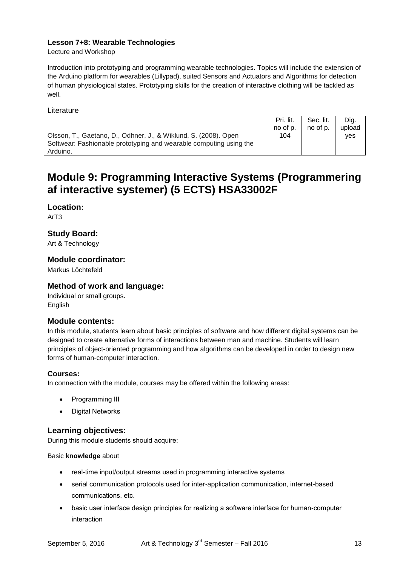# **Lesson 7+8: Wearable Technologies**

Lecture and Workshop

Introduction into prototyping and programming wearable technologies. Topics will include the extension of the Arduino platform for wearables (Lillypad), suited Sensors and Actuators and Algorithms for detection of human physiological states. Prototyping skills for the creation of interactive clothing will be tackled as well.

Literature

|                                                                                                                                       | Pri. lit.<br>no of p. | Sec. lit.<br>no of p. | Dig.<br>upload |
|---------------------------------------------------------------------------------------------------------------------------------------|-----------------------|-----------------------|----------------|
| Olsson, T., Gaetano, D., Odhner, J., & Wiklund, S. (2008). Open<br>Softwear: Fashionable prototyping and wearable computing using the | 104                   |                       | ves            |
| Arduino.                                                                                                                              |                       |                       |                |

# **Module 9: Programming Interactive Systems (Programmering af interactive systemer) (5 ECTS) HSA33002F**

# **Location:**

ArT3

# **Study Board:**

Art & Technology

# **Module coordinator:**

Markus Löchtefeld

# **Method of work and language:**

Individual or small groups. English

# **Module contents:**

In this module, students learn about basic principles of software and how different digital systems can be designed to create alternative forms of interactions between man and machine. Students will learn principles of object-oriented programming and how algorithms can be developed in order to design new forms of human-computer interaction.

# **Courses:**

In connection with the module, courses may be offered within the following areas:

- Programming III
- Digital Networks

# **Learning objectives:**

During this module students should acquire:

#### Basic **knowledge** about

- real-time input/output streams used in programming interactive systems
- serial communication protocols used for inter-application communication, internet-based communications, etc.
- basic user interface design principles for realizing a software interface for human-computer interaction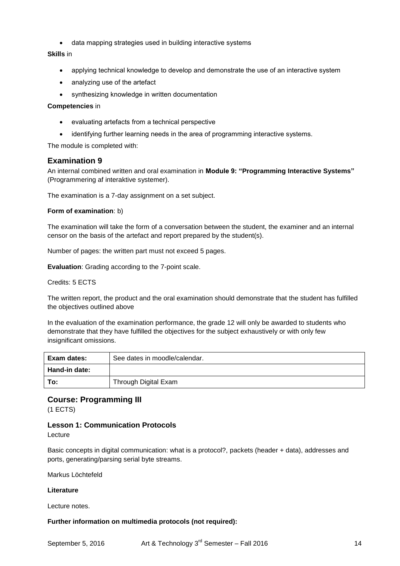data mapping strategies used in building interactive systems

## **Skills** in

- applying technical knowledge to develop and demonstrate the use of an interactive system
- analyzing use of the artefact
- synthesizing knowledge in written documentation

### **Competencies** in

- evaluating artefacts from a technical perspective
- identifying further learning needs in the area of programming interactive systems.

The module is completed with:

# **Examination 9**

An internal combined written and oral examination in **Module 9: "Programming Interactive Systems"**  (Programmering af interaktive systemer).

The examination is a 7-day assignment on a set subject.

#### **Form of examination**: b)

The examination will take the form of a conversation between the student, the examiner and an internal censor on the basis of the artefact and report prepared by the student(s).

Number of pages: the written part must not exceed 5 pages.

**Evaluation**: Grading according to the 7-point scale.

### Credits: 5 ECTS

The written report, the product and the oral examination should demonstrate that the student has fulfilled the objectives outlined above

In the evaluation of the examination performance, the grade 12 will only be awarded to students who demonstrate that they have fulfilled the objectives for the subject exhaustively or with only few insignificant omissions.

| Exam dates:   | See dates in moodle/calendar. |
|---------------|-------------------------------|
| Hand-in date: |                               |
| To:           | Through Digital Exam          |

# **Course: Programming III**

(1 ECTS)

# **Lesson 1: Communication Protocols**

Lecture

Basic concepts in digital communication: what is a protocol?, packets (header + data), addresses and ports, generating/parsing serial byte streams.

Markus Löchtefeld

#### **Literature**

Lecture notes.

#### **Further information on multimedia protocols (not required):**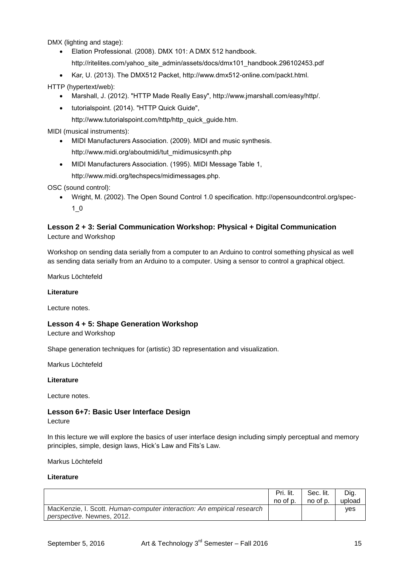DMX (lighting and stage):

- Elation Professional. (2008). DMX 101: A DMX 512 handbook. http://ritelites.com/yahoo\_site\_admin/assets/docs/dmx101\_handbook.296102453.pdf
- Kar, U. (2013). The DMX512 Packet, http://www.dmx512-online.com/packt.html.

HTTP (hypertext/web):

- Marshall, J. (2012). "HTTP Made Really Easy", http://www.jmarshall.com/easy/http/.
- tutorialspoint. (2014). "HTTP Quick Guide",
	- http://www.tutorialspoint.com/http/http\_quick\_guide.htm.

MIDI (musical instruments):

- MIDI Manufacturers Association. (2009). MIDI and music synthesis. http://www.midi.org/aboutmidi/tut\_midimusicsynth.php
- MIDI Manufacturers Association. (1995). MIDI Message Table 1,
	- http://www.midi.org/techspecs/midimessages.php.

#### OSC (sound control):

 Wright, M. (2002). The Open Sound Control 1.0 specification. http://opensoundcontrol.org/spec-1\_0

## **Lesson 2 + 3: Serial Communication Workshop: Physical + Digital Communication** Lecture and Workshop

Workshop on sending data serially from a computer to an Arduino to control something physical as well as sending data serially from an Arduino to a computer. Using a sensor to control a graphical object.

Markus Löchtefeld

#### **Literature**

Lecture notes.

#### **Lesson 4 + 5: Shape Generation Workshop**

Lecture and Workshop

Shape generation techniques for (artistic) 3D representation and visualization.

Markus Löchtefeld

#### **Literature**

Lecture notes.

# **Lesson 6+7: Basic User Interface Design**

Lecture

In this lecture we will explore the basics of user interface design including simply perceptual and memory principles, simple, design laws, Hick"s Law and Fits"s Law.

Markus Löchtefeld

|                                                                                                             | Pri. lit. | Sec. lit. | Dig.       |
|-------------------------------------------------------------------------------------------------------------|-----------|-----------|------------|
|                                                                                                             | no of p.  | no of p.  | upload     |
| MacKenzie, I. Scott. Human-computer interaction: An empirical research<br><i>perspective.</i> Newnes, 2012. |           |           | <b>ves</b> |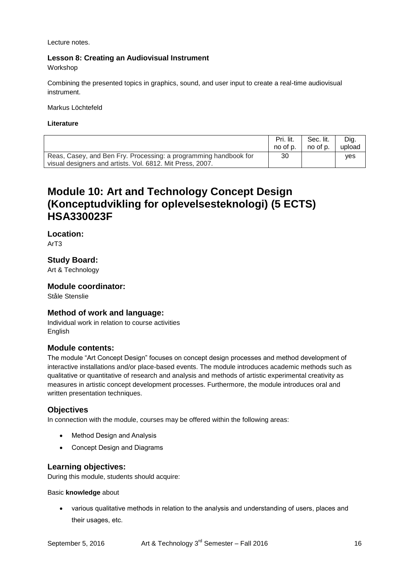Lecture notes.

# **Lesson 8: Creating an Audiovisual Instrument**

Workshop

Combining the presented topics in graphics, sound, and user input to create a real-time audiovisual instrument.

Markus Löchtefeld

#### **Literature**

|                                                                                                                               | Pri. lit. | Sec. lit. | Dig.   |
|-------------------------------------------------------------------------------------------------------------------------------|-----------|-----------|--------|
|                                                                                                                               | no of p.  | no of p.  | upload |
| Reas, Casey, and Ben Fry. Processing: a programming handbook for<br>visual designers and artists. Vol. 6812. Mit Press, 2007. | 30        |           | ves    |

# **Module 10: Art and Technology Concept Design (Konceptudvikling for oplevelsesteknologi) (5 ECTS) HSA330023F**

**Location:** ArT3

**Study Board:**

Art & Technology

## **Module coordinator:**

Ståle Stenslie

# **Method of work and language:**

Individual work in relation to course activities English

# **Module contents:**

The module "Art Concept Design" focuses on concept design processes and method development of interactive installations and/or place-based events. The module introduces academic methods such as qualitative or quantitative of research and analysis and methods of artistic experimental creativity as measures in artistic concept development processes. Furthermore, the module introduces oral and written presentation techniques.

# **Objectives**

In connection with the module, courses may be offered within the following areas:

- Method Design and Analysis
- Concept Design and Diagrams

# **Learning objectives:**

During this module, students should acquire:

#### Basic **knowledge** about

 various qualitative methods in relation to the analysis and understanding of users, places and their usages, etc.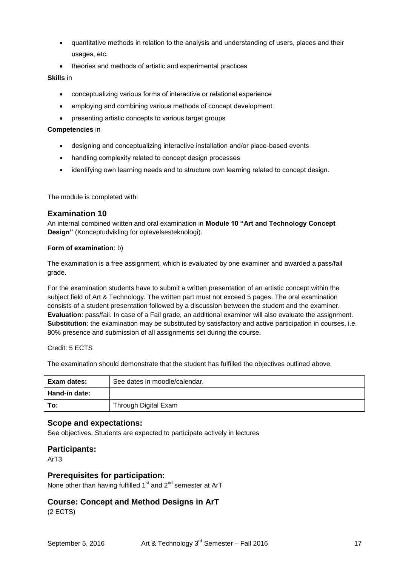- quantitative methods in relation to the analysis and understanding of users, places and their usages, etc.
- theories and methods of artistic and experimental practices

#### **Skills** in

- conceptualizing various forms of interactive or relational experience
- employing and combining various methods of concept development
- presenting artistic concepts to various target groups

#### **Competencies** in

- designing and conceptualizing interactive installation and/or place-based events
- handling complexity related to concept design processes
- identifying own learning needs and to structure own learning related to concept design.

The module is completed with:

## **Examination 10**

An internal combined written and oral examination in **Module 10 "Art and Technology Concept Design"** (Konceptudvikling for oplevelsesteknologi).

#### **Form of examination**: b)

The examination is a free assignment, which is evaluated by one examiner and awarded a pass/fail grade.

For the examination students have to submit a written presentation of an artistic concept within the subject field of Art & Technology. The written part must not exceed 5 pages. The oral examination consists of a student presentation followed by a discussion between the student and the examiner. **Evaluation**: pass/fail. In case of a Fail grade, an additional examiner will also evaluate the assignment. **Substitution**: the examination may be substituted by satisfactory and active participation in courses, i.e. 80% presence and submission of all assignments set during the course.

Credit: 5 ECTS

The examination should demonstrate that the student has fulfilled the objectives outlined above.

| Exam dates:   | See dates in moodle/calendar. |
|---------------|-------------------------------|
| Hand-in date: |                               |
| To:           | Through Digital Exam          |

### **Scope and expectations:**

See objectives. Students are expected to participate actively in lectures

#### **Participants:**

ArT3

# **Prerequisites for participation:**

None other than having fulfilled  $1<sup>st</sup>$  and  $2<sup>nd</sup>$  semester at ArT

# **Course: Concept and Method Designs in ArT**

(2 ECTS)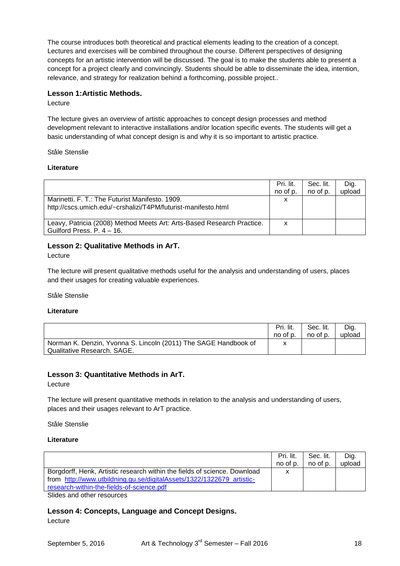The course introduces both theoretical and practical elements leading to the creation of a concept. Lectures and exercises will be combined throughout the course. Different perspectives of designing concepts for an artistic intervention will be discussed. The goal is to make the students able to present a concept for a project clearly and convincingly. Students should be able to disseminate the idea, intention, relevance, and strategy for realization behind a forthcoming, possible project..

## **Lesson 1:Artistic Methods.**

Lecture

The lecture gives an overview of artistic approaches to concept design processes and method development relevant to interactive installations and/or location specific events. The students will get a basic understanding of what concept design is and why it is so important to artistic practice.

Ståle Stenslie

#### **Literature**

|                                                                                                                  | Pri. lit.<br>no of p. | Sec. lit.<br>no of p. | Dig.<br>upload |
|------------------------------------------------------------------------------------------------------------------|-----------------------|-----------------------|----------------|
| Marinetti, F. T.: The Futurist Manifesto, 1909.<br>http://cscs.umich.edu/~crshalizi/T4PM/futurist-manifesto.html | х                     |                       |                |
| Leavy, Patricia (2008) Method Meets Art: Arts-Based Research Practice.<br>Guilford Press, $P. 4 - 16$ .          | x                     |                       |                |

## **Lesson 2: Qualitative Methods in ArT.**

Lecture

The lecture will present qualitative methods useful for the analysis and understanding of users, places and their usages for creating valuable experiences.

Ståle Stenslie

#### **Literature**

|                                                                                                | Pri. lit. | Sec. lit. | Dig.   |
|------------------------------------------------------------------------------------------------|-----------|-----------|--------|
|                                                                                                | no of p.  | no of p.  | upload |
| Norman K. Denzin, Yvonna S. Lincoln (2011) The SAGE Handbook of<br>Qualitative Research, SAGE. | х         |           |        |

# **Lesson 3: Quantitative Methods in ArT.**

Lecture

The lecture will present quantitative methods in relation to the analysis and understanding of users, places and their usages relevant to ArT practice.

Ståle Stenslie

#### **Literature**

|                                                                                                                                                                                                 | Pri. lit.<br>no of p. | Sec. lit.<br>no of p. | Dig.<br>upload |
|-------------------------------------------------------------------------------------------------------------------------------------------------------------------------------------------------|-----------------------|-----------------------|----------------|
| Borgdorff, Henk, Artistic research within the fields of science. Download<br>from http://www.utbildning.gu.se/digitalAssets/1322/1322679 artistic-<br>research-within-the-fields-of-science.pdf |                       |                       |                |
| $\sim$ $\sim$ $\sim$ $\sim$ $\sim$ $\sim$                                                                                                                                                       |                       |                       |                |

Slides and other resources

# **Lesson 4: Concepts, Language and Concept Designs.**

**Lecture**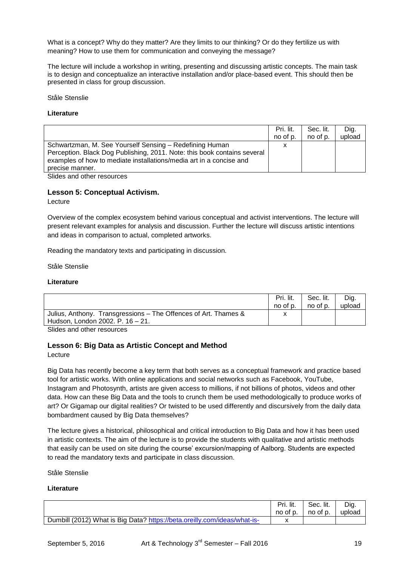What is a concept? Why do they matter? Are they limits to our thinking? Or do they fertilize us with meaning? How to use them for communication and conveying the message?

The lecture will include a workshop in writing, presenting and discussing artistic concepts. The main task is to design and conceptualize an interactive installation and/or place-based event. This should then be presented in class for group discussion.

Ståle Stenslie

#### **Literature**

|                                                                          | Pri. lit. | Sec. lit. | Dig.   |
|--------------------------------------------------------------------------|-----------|-----------|--------|
|                                                                          | no of p.  | no of p.  | upload |
| Schwartzman, M. See Yourself Sensing – Redefining Human                  | x         |           |        |
| Perception. Black Dog Publishing, 2011. Note: this book contains several |           |           |        |
| examples of how to mediate installations/media art in a concise and      |           |           |        |
| precise manner.                                                          |           |           |        |

Slides and other resources

#### **Lesson 5: Conceptual Activism.**

Lecture

Overview of the complex ecosystem behind various conceptual and activist interventions. The lecture will present relevant examples for analysis and discussion. Further the lecture will discuss artistic intentions and ideas in comparison to actual, completed artworks.

Reading the mandatory texts and participating in discussion.

Ståle Stenslie

#### **Literature**

|                                                                 | Pri. lit. | Sec. lit. | Dig.   |
|-----------------------------------------------------------------|-----------|-----------|--------|
|                                                                 | no of p.  | no of p.  | upload |
| Julius, Anthony. Transgressions - The Offences of Art. Thames & |           |           |        |
| Hudson, London 2002. P. 16 – 21.                                |           |           |        |

Slides and other resources

#### **Lesson 6: Big Data as Artistic Concept and Method**

Lecture

Big Data has recently become a key term that both serves as a conceptual framework and practice based tool for artistic works. With online applications and social networks such as Facebook, YouTube, Instagram and Photosynth, artists are given access to millions, if not billions of photos, videos and other data. How can these Big Data and the tools to crunch them be used methodologically to produce works of art? Or Gigamap our digital realities? Or twisted to be used differently and discursively from the daily data bombardment caused by Big Data themselves?

The lecture gives a historical, philosophical and critical introduction to Big Data and how it has been used in artistic contexts. The aim of the lecture is to provide the students with qualitative and artistic methods that easily can be used on site during the course" excursion/mapping of Aalborg. Students are expected to read the mandatory texts and participate in class discussion.

Ståle Stenslie

|                                                                          | Pri. lit. | Sec. lit. | Dig.   |
|--------------------------------------------------------------------------|-----------|-----------|--------|
|                                                                          | no of p.  | no of p.  | upload |
| Dumbill (2012) What is Big Data? https://beta.oreilly.com/ideas/what-is- |           |           |        |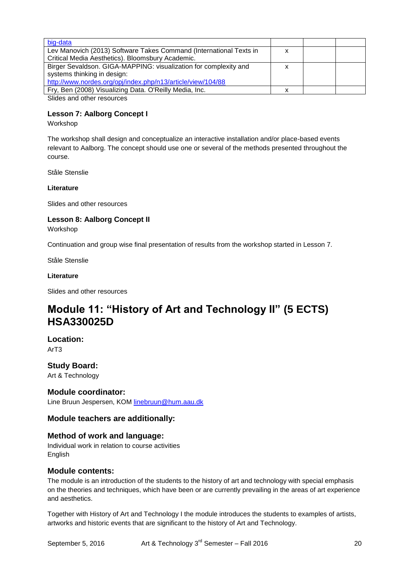| big-data                                                                |  |  |
|-------------------------------------------------------------------------|--|--|
| Lev Manovich (2013) Software Takes Command (International Texts in<br>х |  |  |
| Critical Media Aesthetics). Bloomsbury Academic.                        |  |  |
| Birger Sevaldson. GIGA-MAPPING: visualization for complexity and        |  |  |
| systems thinking in design:                                             |  |  |
| http://www.nordes.org/opj/index.php/n13/article/view/104/88             |  |  |
| Fry, Ben (2008) Visualizing Data. O'Reilly Media, Inc.                  |  |  |
| Slidge and other recourses                                              |  |  |

Slides and other resources

# **Lesson 7: Aalborg Concept I**

#### Workshop

The workshop shall design and conceptualize an interactive installation and/or place-based events relevant to Aalborg. The concept should use one or several of the methods presented throughout the course.

Ståle Stenslie

#### **Literature**

Slides and other resources

# **Lesson 8: Aalborg Concept II**

Workshop

Continuation and group wise final presentation of results from the workshop started in Lesson 7.

Ståle Stenslie

#### **Literature**

Slides and other resources

# **Module 11: "History of Art and Technology II" (5 ECTS) HSA330025D**

# **Location:**

ArT3

# **Study Board:**

Art & Technology

# **Module coordinator:**

Line Bruun Jespersen, KOM [linebruun@hum.aau.dk](mailto:linebruun@hum.aau.dk)

# **Module teachers are additionally:**

# **Method of work and language:**

Individual work in relation to course activities English

#### **Module contents:**

The module is an introduction of the students to the history of art and technology with special emphasis on the theories and techniques, which have been or are currently prevailing in the areas of art experience and aesthetics.

Together with History of Art and Technology I the module introduces the students to examples of artists, artworks and historic events that are significant to the history of Art and Technology.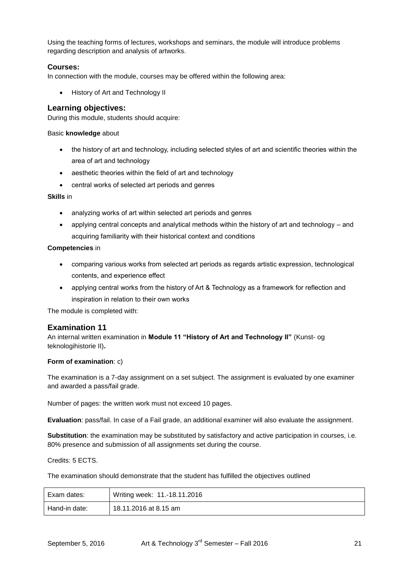Using the teaching forms of lectures, workshops and seminars, the module will introduce problems regarding description and analysis of artworks.

## **Courses:**

In connection with the module, courses may be offered within the following area:

History of Art and Technology II

## **Learning objectives:**

During this module, students should acquire:

#### Basic **knowledge** about

- the history of art and technology, including selected styles of art and scientific theories within the area of art and technology
- aesthetic theories within the field of art and technology
- central works of selected art periods and genres

#### **Skills** in

- analyzing works of art within selected art periods and genres
- applying central concepts and analytical methods within the history of art and technology and acquiring familiarity with their historical context and conditions

#### **Competencies** in

- comparing various works from selected art periods as regards artistic expression, technological contents, and experience effect
- applying central works from the history of Art & Technology as a framework for reflection and inspiration in relation to their own works

The module is completed with:

# **Examination 11**

An internal written examination in **Module 11 "History of Art and Technology II"** (Kunst- og teknologihistorie II)**.**

#### **Form of examination**: c)

The examination is a 7-day assignment on a set subject. The assignment is evaluated by one examiner and awarded a pass/fail grade.

Number of pages: the written work must not exceed 10 pages.

**Evaluation**: pass/fail. In case of a Fail grade, an additional examiner will also evaluate the assignment.

**Substitution**: the examination may be substituted by satisfactory and active participation in courses, i.e. 80% presence and submission of all assignments set during the course.

Credits: 5 ECTS.

The examination should demonstrate that the student has fulfilled the objectives outlined

| Exam dates:   | Writing week: 11.-18.11.2016 |
|---------------|------------------------------|
| Hand-in date: | 18.11.2016 at 8.15 am        |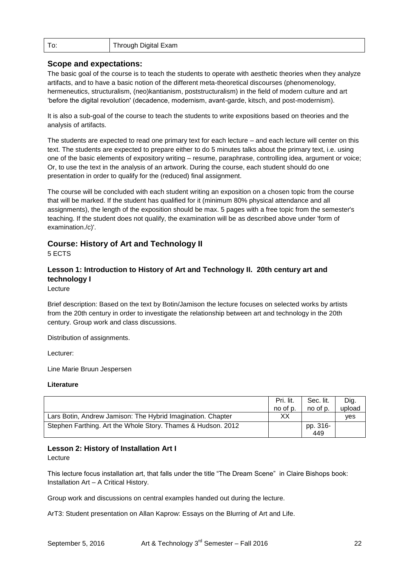| To: | Through Digital Exam |
|-----|----------------------|
|-----|----------------------|

## **Scope and expectations:**

The basic goal of the course is to teach the students to operate with aesthetic theories when they analyze artifacts, and to have a basic notion of the different meta-theoretical discourses (phenomenology, hermeneutics, structuralism, (neo)kantianism, poststructuralism) in the field of modern culture and art "before the digital revolution' (decadence, modernism, avant-garde, kitsch, and post-modernism).

It is also a sub-goal of the course to teach the students to write expositions based on theories and the analysis of artifacts.

The students are expected to read one primary text for each lecture – and each lecture will center on this text. The students are expected to prepare either to do 5 minutes talks about the primary text, i.e. using one of the basic elements of expository writing – resume, paraphrase, controlling idea, argument or voice; Or, to use the text in the analysis of an artwork. During the course, each student should do one presentation in order to qualify for the (reduced) final assignment.

The course will be concluded with each student writing an exposition on a chosen topic from the course that will be marked. If the student has qualified for it (minimum 80% physical attendance and all assignments), the length of the exposition should be max. 5 pages with a free topic from the semester's teaching. If the student does not qualify, the examination will be as described above under 'form of examination./c)'.

# **Course: History of Art and Technology II**

5 ECTS

# **Lesson 1: Introduction to History of Art and Technology II. 20th century art and technology I**

Lecture

Brief description: Based on the text by Botin/Jamison the lecture focuses on selected works by artists from the 20th century in order to investigate the relationship between art and technology in the 20th century. Group work and class discussions.

Distribution of assignments.

Lecturer:

Line Marie Bruun Jespersen

#### **Literature**

|                                                              | Pri. lit.<br>no of p. | Sec. lit.<br>no of p. | Dig.<br>upload |
|--------------------------------------------------------------|-----------------------|-----------------------|----------------|
| Lars Botin, Andrew Jamison: The Hybrid Imagination. Chapter  | XХ                    |                       | <b>ves</b>     |
| Stephen Farthing. Art the Whole Story. Thames & Hudson. 2012 |                       | pp. 316-<br>449       |                |

# **Lesson 2: History of Installation Art I**

Lecture

This lecture focus installation art, that falls under the title "The Dream Scene" in Claire Bishops book: Installation Art – A Critical History.

Group work and discussions on central examples handed out during the lecture.

ArT3: Student presentation on Allan Kaprow: Essays on the Blurring of Art and Life.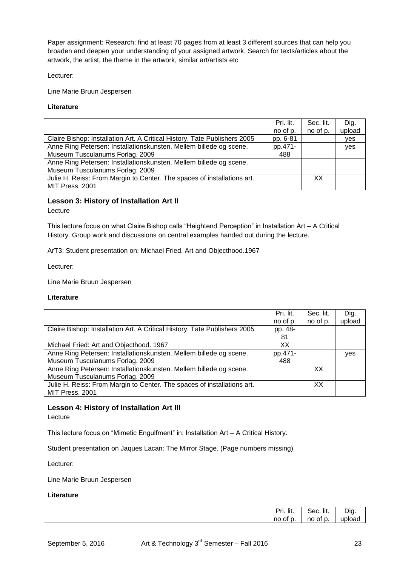Paper assignment: Research: find at least 70 pages from at least 3 different sources that can help you broaden and deepen your understanding of your assigned artwork. Search for texts/articles about the artwork, the artist, the theme in the artwork, similar art/artists etc

Lecturer:

Line Marie Bruun Jespersen

#### **Literature**

|                                                                           | Pri. lit. | Sec. lit. | Dig.   |
|---------------------------------------------------------------------------|-----------|-----------|--------|
|                                                                           | no of p.  | no of p.  | upload |
| Claire Bishop: Installation Art. A Critical History. Tate Publishers 2005 | pp. 6-81  |           | yes    |
| Anne Ring Petersen: Installationskunsten. Mellem billede og scene.        | pp.471-   |           | yes    |
| Museum Tusculanums Forlag. 2009                                           | 488       |           |        |
| Anne Ring Petersen: Installationskunsten. Mellem billede og scene.        |           |           |        |
| Museum Tusculanums Forlag. 2009                                           |           |           |        |
| Julie H. Reiss: From Margin to Center. The spaces of installations art.   |           | XX.       |        |
| MIT Press. 2001                                                           |           |           |        |

## **Lesson 3: History of Installation Art II**

Lecture

This lecture focus on what Claire Bishop calls "Heightend Perception" in Installation Art – A Critical History. Group work and discussions on central examples handed out during the lecture.

ArT3: Student presentation on: Michael Fried. Art and Objecthood.1967

Lecturer:

Line Marie Bruun Jespersen

#### **Literature**

|                                                                           | Pri. lit. | Sec. lit. | Dig.   |
|---------------------------------------------------------------------------|-----------|-----------|--------|
|                                                                           | no of p.  | no of p.  | upload |
| Claire Bishop: Installation Art. A Critical History. Tate Publishers 2005 | pp. 48-   |           |        |
|                                                                           | 81        |           |        |
| Michael Fried: Art and Objecthood. 1967                                   | xх        |           |        |
| Anne Ring Petersen: Installationskunsten. Mellem billede og scene.        | pp.471-   |           | yes    |
| Museum Tusculanums Forlag. 2009                                           | 488       |           |        |
| Anne Ring Petersen: Installationskunsten. Mellem billede og scene.        |           | ХX        |        |
| Museum Tusculanums Forlag. 2009                                           |           |           |        |
| Julie H. Reiss: From Margin to Center. The spaces of installations art.   |           | XХ        |        |
| MIT Press. 2001                                                           |           |           |        |

# **Lesson 4: History of Installation Art III**

Lecture

This lecture focus on "Mimetic Engulfment" in: Installation Art – A Critical History.

Student presentation on Jaques Lacan: The Mirror Stage. (Page numbers missing)

Lecturer:

Line Marie Bruun Jespersen

| .<br>- -<br><br>'rı. lıt.<br>. | Sec. lit.   | Diq.   |
|--------------------------------|-------------|--------|
| of p.<br>no                    | no<br>of p. | upload |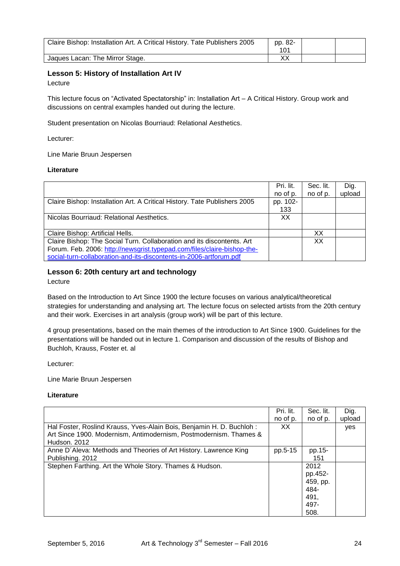| Claire Bishop: Installation Art. A Critical History. Tate Publishers 2005 | pp. 82-<br>101 |  |
|---------------------------------------------------------------------------|----------------|--|
| Jaques Lacan: The Mirror Stage.                                           | v٧             |  |

# **Lesson 5: History of Installation Art IV**

Lecture

This lecture focus on "Activated Spectatorship" in: Installation Art – A Critical History. Group work and discussions on central examples handed out during the lecture.

Student presentation on Nicolas Bourriaud: Relational Aesthetics.

Lecturer:

Line Marie Bruun Jespersen

#### **Literature**

|                                                                           | Pri. lit. | Sec. lit. | Dig.   |
|---------------------------------------------------------------------------|-----------|-----------|--------|
|                                                                           | no of p.  | no of p.  | upload |
| Claire Bishop: Installation Art. A Critical History. Tate Publishers 2005 | pp. 102-  |           |        |
|                                                                           | 133       |           |        |
| Nicolas Bourriaud: Relational Aesthetics.                                 | XX        |           |        |
|                                                                           |           |           |        |
| Claire Bishop: Artificial Hells.                                          |           | xх        |        |
| Claire Bishop: The Social Turn. Collaboration and its discontents. Art    |           | XХ        |        |
| Forum. Feb. 2006: http://newsgrist.typepad.com/files/claire-bishop-the-   |           |           |        |
| social-turn-collaboration-and-its-discontents-in-2006-artforum.pdf        |           |           |        |

# **Lesson 6: 20th century art and technology**

Lecture

Based on the Introduction to Art Since 1900 the lecture focuses on various analytical/theoretical strategies for understanding and analysing art. The lecture focus on selected artists from the 20th century and their work. Exercises in art analysis (group work) will be part of this lecture.

4 group presentations, based on the main themes of the introduction to Art Since 1900. Guidelines for the presentations will be handed out in lecture 1. Comparison and discussion of the results of Bishop and Buchloh, Krauss, Foster et. al

Lecturer:

Line Marie Bruun Jespersen

|                                                                      | Pri. lit. | Sec. lit. | Dig.   |
|----------------------------------------------------------------------|-----------|-----------|--------|
|                                                                      | no of p.  | no of p.  | upload |
| Hal Foster, Roslind Krauss, Yves-Alain Bois, Benjamin H. D. Buchloh: | XX.       |           | yes    |
| Art Since 1900. Modernism, Antimodernism, Postmodernism. Thames &    |           |           |        |
| Hudson, 2012                                                         |           |           |        |
| Anne D'Aleva: Methods and Theories of Art History. Lawrence King     | pp.5-15   | pp.15-    |        |
| Publishing. 2012                                                     |           | 151       |        |
| Stephen Farthing. Art the Whole Story. Thames & Hudson.              |           | 2012      |        |
|                                                                      |           | pp.452-   |        |
|                                                                      |           | 459, pp.  |        |
|                                                                      |           | 484-      |        |
|                                                                      |           | 491,      |        |
|                                                                      |           | 497-      |        |
|                                                                      |           | 508.      |        |